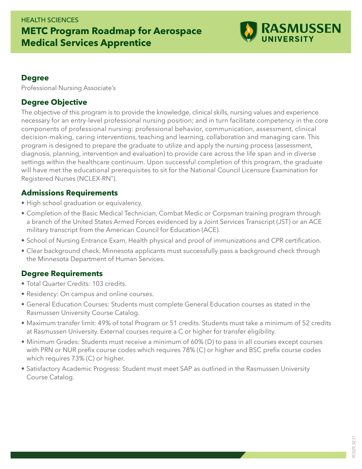#### HEALTH SCIENCES

# **METC Program Roadmap for Aerospace Medical Services Apprentice**



### **Degree**

Professional Nursing Associate's

## **Degree Objective**

The objective of this program is to provide the knowledge, clinical skills, nursing values and experience necessary for an entry-level professional nursing position; and in turn facilitate competency in the core components of professional nursing: professional behavior, communication, assessment, clinical decision-making, caring interventions, teaching and learning, collaboration and managing care. This program is designed to prepare the graduate to utilize and apply the nursing process (assessment, diagnosis, planning, intervention and evaluation) to provide care across the life span and in diverse settings within the healthcare continuum. Upon successful completion of this program, the graduate will have met the educational prerequisites to sit for the National Council Licensure Examination for Registered Nurses (NCLEX-RN®).

## **Admissions Requirements**

- High school graduation or equivalency.
- Completion of the Basic Medical Technician, Combat Medic or Corpsman training program through a branch of the United States Armed Forces evidenced by a Joint Services Transcript (JST) or an ACE military transcript from the American Council for Education (ACE).
- School of Nursing Entrance Exam, Health physical and proof of immunizations and CPR certification.
- Clear background check. Minnesota applicants must successfully pass a background check through the Minnesota Department of Human Services.

### **Degree Requirements**

- Total Quarter Credits: 103 credits.
- Residency: On campus and online courses.
- General Education Courses: Students must complete General Education courses as stated in the Rasmussen University Course Catalog.
- Maximum transfer limit: 49% of total Program or 51 credits. Students must take a minimum of 52 credits at Rasmussen University. External courses require a C or higher for transfer eligibility.
- Minimum Grades: Students must receive a minimum of 60% (D) to pass in all courses except courses with PRN or NUR prefix course codes which requires 78% (C) or higher and BSC prefix course codes which requires 73% (C) or higher.
- Satisfactory Academic Progress: Student must meet SAP as outlined in the Rasmussen University Course Catalog.